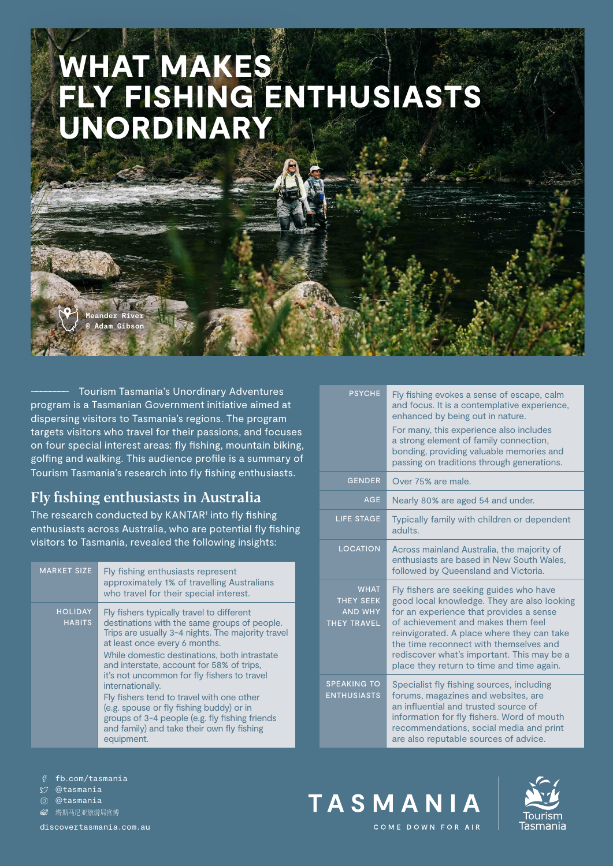# WHAT MAKES FLY FISHING ENTHUSIASTS UNORDINARY

–––––––– Tourism Tasmania's Unordinary Adventures program is a Tasmanian Government initiative aimed at dispersing visitors to Tasmania's regions. The program targets visitors who travel for their passions, and focuses on four special interest areas: fly fishing, mountain biking, golfing and walking. This audience profile is a summary of Tourism Tasmania's research into fly fishing enthusiasts.

# Fly fishing enthusiasts in Australia

ander Riv **© Adam Gibson**

The research conducted by KANTAR<sup>1</sup> into fly fishing enthusiasts across Australia, who are potential fly fishing visitors to Tasmania, revealed the following insights:

| <b>MARKET SIZE</b>              | Fly fishing enthusiasts represent<br>approximately 1% of travelling Australians<br>who travel for their special interest.                                                                                                                                                                                                                                                                                                                                                                                                                              |
|---------------------------------|--------------------------------------------------------------------------------------------------------------------------------------------------------------------------------------------------------------------------------------------------------------------------------------------------------------------------------------------------------------------------------------------------------------------------------------------------------------------------------------------------------------------------------------------------------|
| <b>HOLIDAY</b><br><b>HABITS</b> | Fly fishers typically travel to different<br>destinations with the same groups of people.<br>Trips are usually 3-4 nights. The majority travel<br>at least once every 6 months.<br>While domestic destinations, both intrastate<br>and interstate, account for 58% of trips,<br>it's not uncommon for fly fishers to travel<br>internationally.<br>Fly fishers tend to travel with one other<br>(e.g. spouse or fly fishing buddy) or in<br>groups of 3-4 people (e.g. fly fishing friends<br>and family) and take their own fly fishing<br>equipment. |

| <b>PSYCHE</b>                                                           | Fly fishing evokes a sense of escape, calm<br>and focus. It is a contemplative experience,<br>enhanced by being out in nature.<br>For many, this experience also includes<br>a strong element of family connection,<br>bonding, providing valuable memories and<br>passing on traditions through generations.                                              |
|-------------------------------------------------------------------------|------------------------------------------------------------------------------------------------------------------------------------------------------------------------------------------------------------------------------------------------------------------------------------------------------------------------------------------------------------|
| <b>GENDER</b>                                                           | Over 75% are male.                                                                                                                                                                                                                                                                                                                                         |
| <b>AGE</b>                                                              | Nearly 80% are aged 54 and under.                                                                                                                                                                                                                                                                                                                          |
| LIFE STAGE                                                              | Typically family with children or dependent<br>adults.                                                                                                                                                                                                                                                                                                     |
| <b>LOCATION</b>                                                         | Across mainland Australia, the majority of<br>enthusiasts are based in New South Wales,<br>followed by Queensland and Victoria.                                                                                                                                                                                                                            |
| <b>WHAT</b><br><b>THEY SEEK</b><br><b>AND WHY</b><br><b>THEY TRAVEL</b> | Fly fishers are seeking guides who have<br>good local knowledge. They are also looking<br>for an experience that provides a sense<br>of achievement and makes them feel<br>reinvigorated. A place where they can take<br>the time reconnect with themselves and<br>rediscover what's important. This may be a<br>place they return to time and time again. |
| <b>SPEAKING TO</b><br><b>ENTHUSIASTS</b>                                | Specialist fly fishing sources, including<br>forums, magazines and websites, are<br>an influential and trusted source of<br>information for fly fishers. Word of mouth<br>recommendations, social media and print<br>are also reputable sources of advice.                                                                                                 |

fb.com/tasmania

@tasmania

@tasmania

**⑥** 塔斯马尼亚旅游局官博

[discovertasmania.com.au](https://www.discovertasmania.com.au)





COME DOWN FOR AIR